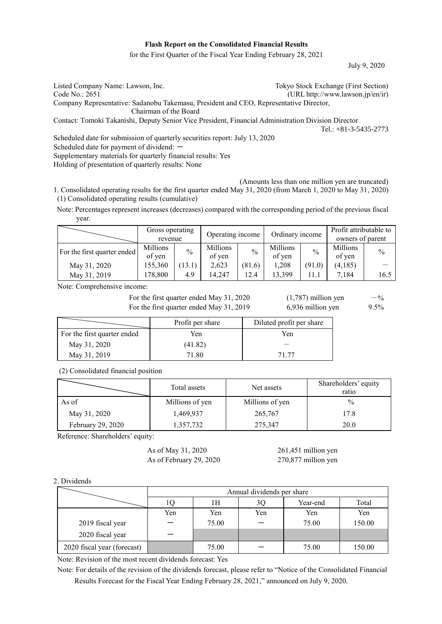# **Flash Report on the Consolidated Financial Results**

for the First Quarter of the Fiscal Year Ending February 28, 2021

July 9, 2020

| Listed Company Name: Lawson, Inc.                                                                   | Tokyo Stock Exchange (First Section) |
|-----------------------------------------------------------------------------------------------------|--------------------------------------|
| Code No.: 2651                                                                                      | (URL http://www.lawson.jp/en/ir)     |
| Company Representative: Sadanobu Takemasu, President and CEO, Representative Director,              |                                      |
| Chairman of the Board                                                                               |                                      |
| Contact: Tomoki Takanishi, Deputy Senior Vice President, Financial Administration Division Director |                                      |
|                                                                                                     | Tel.: $+81-3-5435-2773$              |
| Scheduled date for submission of quarterly securities report: July 13, 2020                         |                                      |
| Scheduled date for payment of dividend: $-$                                                         |                                      |
|                                                                                                     |                                      |

Supplementary materials for quarterly financial results: Yes Holding of presentation of quarterly results: None

(Amounts less than one million yen are truncated) 1. Consolidated operating results for the first quarter ended May 31, 2020 (from March 1, 2020 to May 31, 2020) (1) Consolidated operating results (cumulative)

Note: Percentages represent increases (decreases) compared with the corresponding period of the previous fiscal year.

|                             | Gross operating<br>revenue |               | Operating income<br>Ordinary income |        | Profit attributable to<br>owners of parent |               |                    |      |
|-----------------------------|----------------------------|---------------|-------------------------------------|--------|--------------------------------------------|---------------|--------------------|------|
| For the first quarter ended | Millions<br>of yen         | $\frac{0}{0}$ | Millions<br>of yen                  | $\%$   | Millions<br>of yen                         | $\frac{0}{0}$ | Millions<br>of yen | $\%$ |
| May 31, 2020                | 155,360                    | 13.1)         | 2,623                               | (81.6) | 1,208                                      | (91.0)        | (4,185)            |      |
| May 31, 2019                | 178,800                    | 4.9           | 14.247                              | 12.4   | 13.399                                     | 11.1          | 7,184              | 16.5 |

Note: Comprehensive income:

For the first quarter ended May 31, 2020  $(1,787)$  million yen  $-$ % For the first quarter ended May  $31, 2019$  6,936 million yen 9.5%

|                             | Profit per share | Diluted profit per share |  |
|-----------------------------|------------------|--------------------------|--|
| For the first quarter ended | Yen              | Yen                      |  |
| May 31, 2020                | (41.82)          |                          |  |
| May 31, 2019                | 71.80            | 71 77                    |  |

(2) Consolidated financial position

|                   | Total assets    | Net assets      | Shareholders' equity<br>ratio |
|-------------------|-----------------|-----------------|-------------------------------|
| As of             | Millions of yen | Millions of yen | $\frac{0}{0}$                 |
| May 31, 2020      | 1,469,937       | 265,767         | 17.8                          |
| February 29, 2020 | 1,357,732       | 275,347         | 20.0                          |

Reference: Shareholders' equity:

As of May 31, 2020 261,451 million yen As of February 29, 2020 270,877 million yen

2. Dividends

|                             | Annual dividends per share |       |     |          |        |
|-----------------------------|----------------------------|-------|-----|----------|--------|
|                             |                            | 1H    | 3Q  | Year-end | Total  |
|                             | Yen                        | Yen   | Yen | Yen      | Yen    |
| 2019 fiscal year            |                            | 75.00 |     | 75.00    | 150.00 |
| 2020 fiscal year            |                            |       |     |          |        |
| 2020 fiscal year (forecast) |                            | 75.00 |     | 75.00    | 150.00 |

Note: Revision of the most recent dividends forecast: Yes

Note: For details of the revision of the dividends forecast, please refer to "Notice of the Consolidated Financial Results Forecast for the Fiscal Year Ending February 28, 2021," announced on July 9, 2020.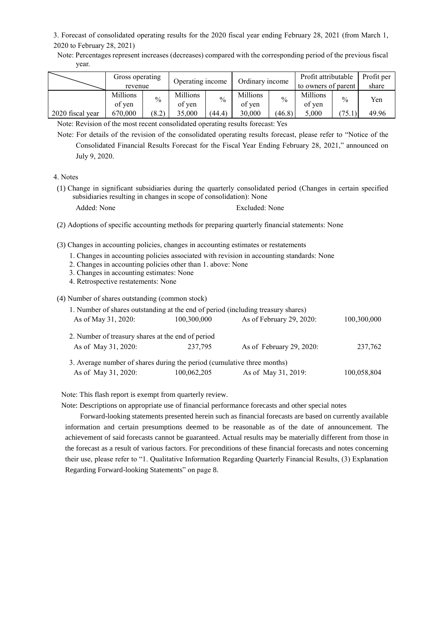3. Forecast of consolidated operating results for the 2020 fiscal year ending February 28, 2021 (from March 1, 2020 to February 28, 2021)

Note: Percentages represent increases (decreases) compared with the corresponding period of the previous fiscal year.

|                  | Gross operating<br>revenue |       | Operating income   |               | Ordinary income           |               | Profit attributable<br>to owners of parent |               | Profit per<br>share |
|------------------|----------------------------|-------|--------------------|---------------|---------------------------|---------------|--------------------------------------------|---------------|---------------------|
|                  | <b>Millions</b><br>of yen  | $\%$  | Millions<br>of ven | $\frac{0}{0}$ | <b>Millions</b><br>of yen | $\frac{0}{0}$ | Millions<br>of yen                         | $\frac{0}{0}$ | Yen                 |
| 2020 fiscal year | 670,000                    | (8.2) | 35,000             | (44.4)        | 30,000                    | (46.8)        | 5,000                                      |               | 49.96               |

Note: Revision of the most recent consolidated operating results forecast: Yes

Note: For details of the revision of the consolidated operating results forecast, please refer to "Notice of the Consolidated Financial Results Forecast for the Fiscal Year Ending February 28, 2021," announced on July 9, 2020.

4. Notes

(1) Change in significant subsidiaries during the quarterly consolidated period (Changes in certain specified subsidiaries resulting in changes in scope of consolidation): None

Added: None Excluded: None

- (2) Adoptions of specific accounting methods for preparing quarterly financial statements: None
- (3) Changes in accounting policies, changes in accounting estimates or restatements
	- 1. Changes in accounting policies associated with revision in accounting standards: None
	- 2. Changes in accounting policies other than 1. above: None
	- 3. Changes in accounting estimates: None
	- 4. Retrospective restatements: None

(4) Number of shares outstanding (common stock)

| 1. Number of shares outstanding at the end of period (including treasury shares) |             |                          |             |  |
|----------------------------------------------------------------------------------|-------------|--------------------------|-------------|--|
| As of May 31, 2020:                                                              | 100,300,000 | As of February 29, 2020: | 100,300,000 |  |
| 2. Number of treasury shares at the end of period<br>As of May 31, 2020:         | 237,795     | As of February 29, 2020: | 237,762     |  |
| 3. Average number of shares during the period (cumulative three months)          |             |                          |             |  |
| As of May 31, 2020:                                                              | 100,062,205 | As of May 31, 2019:      | 100,058,804 |  |

Note: This flash report is exempt from quarterly review.

Note: Descriptions on appropriate use of financial performance forecasts and other special notes

Forward-looking statements presented herein such as financial forecasts are based on currently available information and certain presumptions deemed to be reasonable as of the date of announcement. The achievement of said forecasts cannot be guaranteed. Actual results may be materially different from those in the forecast as a result of various factors. For preconditions of these financial forecasts and notes concerning their use, please refer to "1. Qualitative Information Regarding Quarterly Financial Results, (3) Explanation Regarding Forward-looking Statements" on page 8.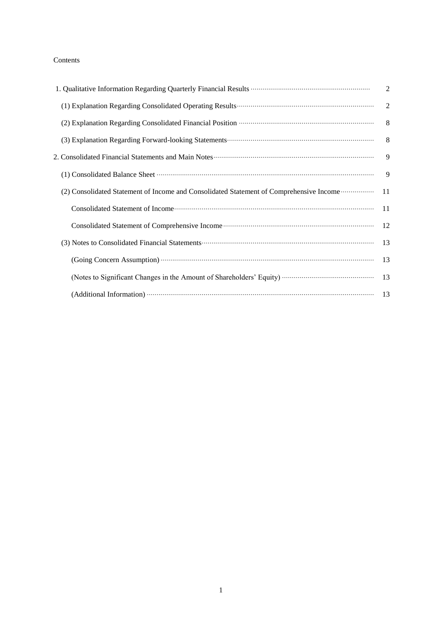# Contents

|                                                                                                                                                                                                                                    | $\overline{2}$ |
|------------------------------------------------------------------------------------------------------------------------------------------------------------------------------------------------------------------------------------|----------------|
|                                                                                                                                                                                                                                    | $\overline{2}$ |
|                                                                                                                                                                                                                                    | 8 <sup>8</sup> |
| (3) Explanation Regarding Forward-looking Statements (2) Explanation Regarding Forward-looking Statements (3)                                                                                                                      |                |
| 2. Consolidated Financial Statements and Main Notes <b>Construction</b> and the set of the set of the set of the set of the set of the set of the set of the set of the set of the set of the set of the set of the set of the set |                |
|                                                                                                                                                                                                                                    |                |
| (2) Consolidated Statement of Income and Consolidated Statement of Comprehensive Income  11                                                                                                                                        |                |
|                                                                                                                                                                                                                                    |                |
|                                                                                                                                                                                                                                    |                |
|                                                                                                                                                                                                                                    |                |
|                                                                                                                                                                                                                                    | 13             |
|                                                                                                                                                                                                                                    |                |
|                                                                                                                                                                                                                                    |                |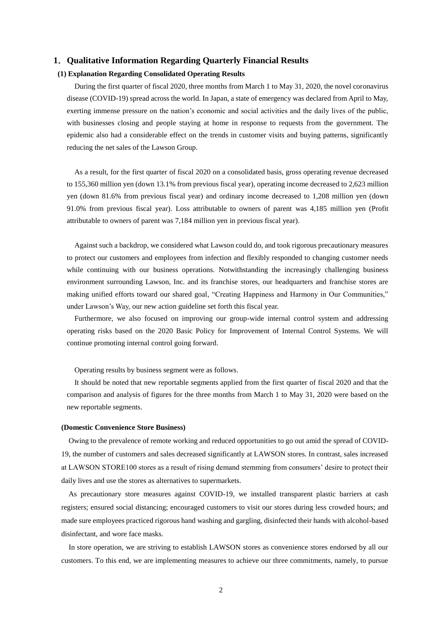# **1**.**Qualitative Information Regarding Quarterly Financial Results**

# **(1) Explanation Regarding Consolidated Operating Results**

During the first quarter of fiscal 2020, three months from March 1 to May 31, 2020, the novel coronavirus disease (COVID-19) spread across the world. In Japan, a state of emergency was declared from April to May, exerting immense pressure on the nation's economic and social activities and the daily lives of the public, with businesses closing and people staying at home in response to requests from the government. The epidemic also had a considerable effect on the trends in customer visits and buying patterns, significantly reducing the net sales of the Lawson Group.

As a result, for the first quarter of fiscal 2020 on a consolidated basis, gross operating revenue decreased to 155,360 million yen (down 13.1% from previous fiscal year), operating income decreased to 2,623 million yen (down 81.6% from previous fiscal year) and ordinary income decreased to 1,208 million yen (down 91.0% from previous fiscal year). Loss attributable to owners of parent was 4,185 million yen (Profit attributable to owners of parent was 7,184 million yen in previous fiscal year).

Against such a backdrop, we considered what Lawson could do, and took rigorous precautionary measures to protect our customers and employees from infection and flexibly responded to changing customer needs while continuing with our business operations. Notwithstanding the increasingly challenging business environment surrounding Lawson, Inc. and its franchise stores, our headquarters and franchise stores are making unified efforts toward our shared goal, "Creating Happiness and Harmony in Our Communities," under Lawson's Way, our new action guideline set forth this fiscal year.

Furthermore, we also focused on improving our group-wide internal control system and addressing operating risks based on the 2020 Basic Policy for Improvement of Internal Control Systems. We will continue promoting internal control going forward.

Operating results by business segment were as follows.

It should be noted that new reportable segments applied from the first quarter of fiscal 2020 and that the comparison and analysis of figures for the three months from March 1 to May 31, 2020 were based on the new reportable segments.

#### **(Domestic Convenience Store Business)**

Owing to the prevalence of remote working and reduced opportunities to go out amid the spread of COVID-19, the number of customers and sales decreased significantly at LAWSON stores. In contrast, sales increased at LAWSON STORE100 stores as a result of rising demand stemming from consumers' desire to protect their daily lives and use the stores as alternatives to supermarkets.

As precautionary store measures against COVID-19, we installed transparent plastic barriers at cash registers; ensured social distancing; encouraged customers to visit our stores during less crowded hours; and made sure employees practiced rigorous hand washing and gargling, disinfected their hands with alcohol-based disinfectant, and wore face masks.

In store operation, we are striving to establish LAWSON stores as convenience stores endorsed by all our customers. To this end, we are implementing measures to achieve our three commitments, namely, to pursue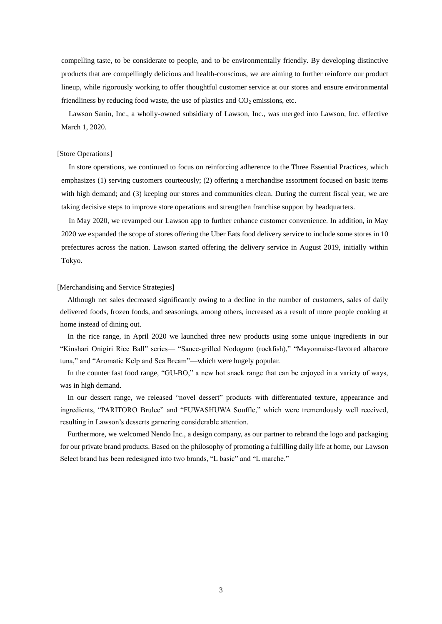compelling taste, to be considerate to people, and to be environmentally friendly. By developing distinctive products that are compellingly delicious and health-conscious, we are aiming to further reinforce our product lineup, while rigorously working to offer thoughtful customer service at our stores and ensure environmental friendliness by reducing food waste, the use of plastics and  $CO<sub>2</sub>$  emissions, etc.

Lawson Sanin, Inc., a wholly-owned subsidiary of Lawson, Inc., was merged into Lawson, Inc. effective March 1, 2020.

#### [Store Operations]

In store operations, we continued to focus on reinforcing adherence to the Three Essential Practices, which emphasizes (1) serving customers courteously; (2) offering a merchandise assortment focused on basic items with high demand; and (3) keeping our stores and communities clean. During the current fiscal year, we are taking decisive steps to improve store operations and strengthen franchise support by headquarters.

In May 2020, we revamped our Lawson app to further enhance customer convenience. In addition, in May 2020 we expanded the scope of stores offering the Uber Eats food delivery service to include some stores in 10 prefectures across the nation. Lawson started offering the delivery service in August 2019, initially within Tokyo.

### [Merchandising and Service Strategies]

Although net sales decreased significantly owing to a decline in the number of customers, sales of daily delivered foods, frozen foods, and seasonings, among others, increased as a result of more people cooking at home instead of dining out.

In the rice range, in April 2020 we launched three new products using some unique ingredients in our "Kinshari Onigiri Rice Ball" series— "Sauce-grilled Nodoguro (rockfish)," "Mayonnaise-flavored albacore tuna," and "Aromatic Kelp and Sea Bream"—which were hugely popular.

In the counter fast food range, "GU-BO," a new hot snack range that can be enjoyed in a variety of ways, was in high demand.

In our dessert range, we released "novel dessert" products with differentiated texture, appearance and ingredients, "PARITORO Brulee" and "FUWASHUWA Souffle," which were tremendously well received, resulting in Lawson's desserts garnering considerable attention.

Furthermore, we welcomed Nendo Inc., a design company, as our partner to rebrand the logo and packaging for our private brand products. Based on the philosophy of promoting a fulfilling daily life at home, our Lawson Select brand has been redesigned into two brands, "L basic" and "L marche."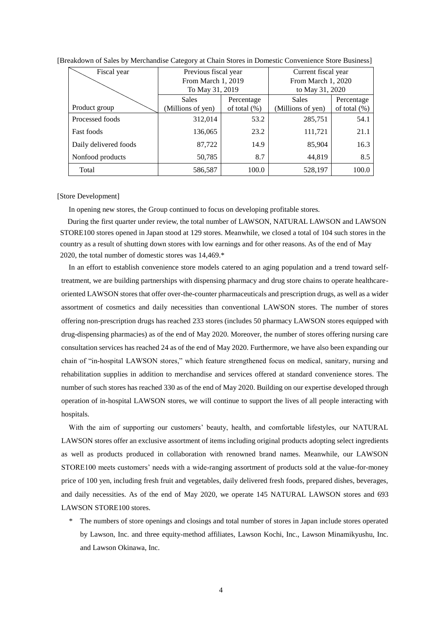| Fiscal year           | Previous fiscal year |                 | Current fiscal year |                 |  |
|-----------------------|----------------------|-----------------|---------------------|-----------------|--|
|                       | From March 1, 2019   |                 | From March 1, 2020  |                 |  |
|                       | To May 31, 2019      |                 | to May 31, 2020     |                 |  |
|                       | Sales                | Percentage      | <b>Sales</b>        | Percentage      |  |
| Product group         | (Millions of yen)    | of total $(\%)$ | (Millions of yen)   | of total $(\%)$ |  |
| Processed foods       | 312,014              | 53.2            | 285,751             | 54.1            |  |
| <b>Fast foods</b>     | 136,065              | 23.2            | 111,721             | 21.1            |  |
| Daily delivered foods | 87,722               | 14.9            | 85,904              | 16.3            |  |
| Nonfood products      | 50,785               | 8.7             | 44,819              | 8.5             |  |
| Total                 | 586,587              | 100.0           | 528,197             | 100.0           |  |

#### [Breakdown of Sales by Merchandise Category at Chain Stores in Domestic Convenience Store Business]

#### [Store Development]

In opening new stores, the Group continued to focus on developing profitable stores.

During the first quarter under review, the total number of LAWSON, NATURAL LAWSON and LAWSON STORE100 stores opened in Japan stood at 129 stores. Meanwhile, we closed a total of 104 such stores in the country as a result of shutting down stores with low earnings and for other reasons. As of the end of May 2020, the total number of domestic stores was 14,469.\*

In an effort to establish convenience store models catered to an aging population and a trend toward selftreatment, we are building partnerships with dispensing pharmacy and drug store chains to operate healthcareoriented LAWSON stores that offer over-the-counter pharmaceuticals and prescription drugs, as well as a wider assortment of cosmetics and daily necessities than conventional LAWSON stores. The number of stores offering non-prescription drugs has reached 233 stores (includes 50 pharmacy LAWSON stores equipped with drug-dispensing pharmacies) as of the end of May 2020. Moreover, the number of stores offering nursing care consultation services has reached 24 as of the end of May 2020. Furthermore, we have also been expanding our chain of "in-hospital LAWSON stores," which feature strengthened focus on medical, sanitary, nursing and rehabilitation supplies in addition to merchandise and services offered at standard convenience stores. The number of such stores has reached 330 as of the end of May 2020. Building on our expertise developed through operation of in-hospital LAWSON stores, we will continue to support the lives of all people interacting with hospitals.

With the aim of supporting our customers' beauty, health, and comfortable lifestyles, our NATURAL LAWSON stores offer an exclusive assortment of items including original products adopting select ingredients as well as products produced in collaboration with renowned brand names. Meanwhile, our LAWSON STORE100 meets customers' needs with a wide-ranging assortment of products sold at the value-for-money price of 100 yen, including fresh fruit and vegetables, daily delivered fresh foods, prepared dishes, beverages, and daily necessities. As of the end of May 2020, we operate 145 NATURAL LAWSON stores and 693 LAWSON STORE100 stores.

\* The numbers of store openings and closings and total number of stores in Japan include stores operated by Lawson, Inc. and three equity-method affiliates, Lawson Kochi, Inc., Lawson Minamikyushu, Inc. and Lawson Okinawa, Inc.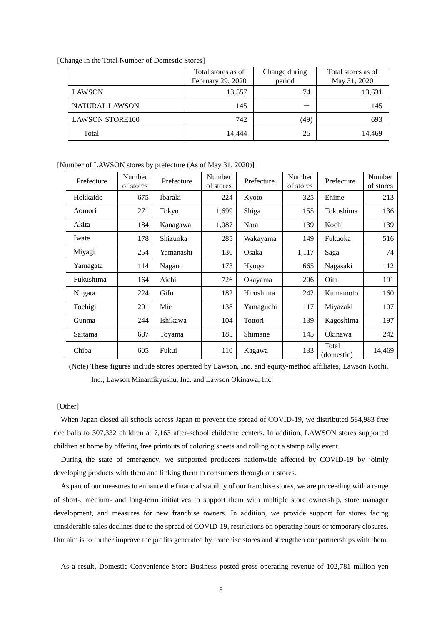| [Change in the Total Number of Domestic Stores] |  |  |  |  |  |  |
|-------------------------------------------------|--|--|--|--|--|--|
|-------------------------------------------------|--|--|--|--|--|--|

|                        | Total stores as of<br>February 29, 2020 | Change during<br>period | Total stores as of<br>May 31, 2020 |
|------------------------|-----------------------------------------|-------------------------|------------------------------------|
| <b>LAWSON</b>          | 13,557                                  | 74                      | 13,631                             |
| NATURAL LAWSON         | 145                                     |                         | 145                                |
| <b>LAWSON STORE100</b> | 742                                     | (49)                    | 693                                |
| Total                  | 14,444                                  | 25                      | 14,469                             |

[Number of LAWSON stores by prefecture (As of May 31, 2020)]

| Prefecture | Number<br>of stores | Prefecture | Number<br>of stores | Prefecture | Number<br>of stores | Prefecture          | Number<br>of stores |
|------------|---------------------|------------|---------------------|------------|---------------------|---------------------|---------------------|
| Hokkaido   | 675                 | Ibaraki    | 224                 | Kyoto      | 325                 | Ehime               | 213                 |
| Aomori     | 271                 | Tokyo      | 1,699               | Shiga      | 155                 | Tokushima           | 136                 |
| Akita      | 184                 | Kanagawa   | 1,087               | Nara       | 139                 | Kochi               | 139                 |
| Iwate      | 178                 | Shizuoka   | 285                 | Wakayama   | 149                 | Fukuoka             | 516                 |
| Miyagi     | 254                 | Yamanashi  | 136                 | Osaka      | 1,117               | Saga                | 74                  |
| Yamagata   | 114                 | Nagano     | 173                 | Hyogo      | 665                 | Nagasaki            | 112                 |
| Fukushima  | 164                 | Aichi      | 726                 | Okayama    | 206                 | Oita                | 191                 |
| Niigata    | 224                 | Gifu       | 182                 | Hiroshima  | 242                 | Kumamoto            | 160                 |
| Tochigi    | 201                 | Mie        | 138                 | Yamaguchi  | 117                 | Miyazaki            | 107                 |
| Gunma      | 244                 | Ishikawa   | 104                 | Tottori    | 139                 | Kagoshima           | 197                 |
| Saitama    | 687                 | Toyama     | 185                 | Shimane    | 145                 | Okinawa             | 242                 |
| Chiba      | 605                 | Fukui      | 110                 | Kagawa     | 133                 | Total<br>(domestic) | 14,469              |

(Note) These figures include stores operated by Lawson, Inc. and equity-method affiliates, Lawson Kochi, Inc., Lawson Minamikyushu, Inc. and Lawson Okinawa, Inc.

#### [Other]

When Japan closed all schools across Japan to prevent the spread of COVID-19, we distributed 584,983 free rice balls to 307,332 children at 7,163 after-school childcare centers. In addition, LAWSON stores supported children at home by offering free printouts of coloring sheets and rolling out a stamp rally event.

During the state of emergency, we supported producers nationwide affected by COVID-19 by jointly developing products with them and linking them to consumers through our stores.

As part of our measures to enhance the financial stability of our franchise stores, we are proceeding with a range of short-, medium- and long-term initiatives to support them with multiple store ownership, store manager development, and measures for new franchise owners. In addition, we provide support for stores facing considerable sales declines due to the spread of COVID-19, restrictions on operating hours or temporary closures. Our aim is to further improve the profits generated by franchise stores and strengthen our partnerships with them.

As a result, Domestic Convenience Store Business posted gross operating revenue of 102,781 million yen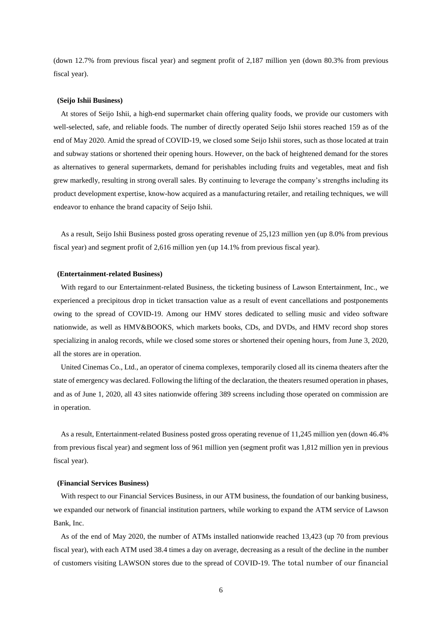(down 12.7% from previous fiscal year) and segment profit of 2,187 million yen (down 80.3% from previous fiscal year).

#### **(Seijo Ishii Business)**

At stores of Seijo Ishii, a high-end supermarket chain offering quality foods, we provide our customers with well-selected, safe, and reliable foods. The number of directly operated Seijo Ishii stores reached 159 as of the end of May 2020. Amid the spread of COVID-19, we closed some Seijo Ishii stores, such as those located at train and subway stations or shortened their opening hours. However, on the back of heightened demand for the stores as alternatives to general supermarkets, demand for perishables including fruits and vegetables, meat and fish grew markedly, resulting in strong overall sales. By continuing to leverage the company's strengths including its product development expertise, know-how acquired as a manufacturing retailer, and retailing techniques, we will endeavor to enhance the brand capacity of Seijo Ishii.

As a result, Seijo Ishii Business posted gross operating revenue of 25,123 million yen (up 8.0% from previous fiscal year) and segment profit of 2,616 million yen (up 14.1% from previous fiscal year).

#### **(Entertainment-related Business)**

With regard to our Entertainment-related Business, the ticketing business of Lawson Entertainment, Inc., we experienced a precipitous drop in ticket transaction value as a result of event cancellations and postponements owing to the spread of COVID-19. Among our HMV stores dedicated to selling music and video software nationwide, as well as HMV&BOOKS, which markets books, CDs, and DVDs, and HMV record shop stores specializing in analog records, while we closed some stores or shortened their opening hours, from June 3, 2020, all the stores are in operation.

United Cinemas Co., Ltd., an operator of cinema complexes, temporarily closed all its cinema theaters after the state of emergency was declared. Following the lifting of the declaration, the theaters resumed operation in phases, and as of June 1, 2020, all 43 sites nationwide offering 389 screens including those operated on commission are in operation.

As a result, Entertainment-related Business posted gross operating revenue of 11,245 million yen (down 46.4% from previous fiscal year) and segment loss of 961 million yen (segment profit was 1,812 million yen in previous fiscal year).

# **(Financial Services Business)**

With respect to our Financial Services Business, in our ATM business, the foundation of our banking business, we expanded our network of financial institution partners, while working to expand the ATM service of Lawson Bank, Inc.

As of the end of May 2020, the number of ATMs installed nationwide reached 13,423 (up 70 from previous fiscal year), with each ATM used 38.4 times a day on average, decreasing as a result of the decline in the number of customers visiting LAWSON stores due to the spread of COVID-19. The total number of our financial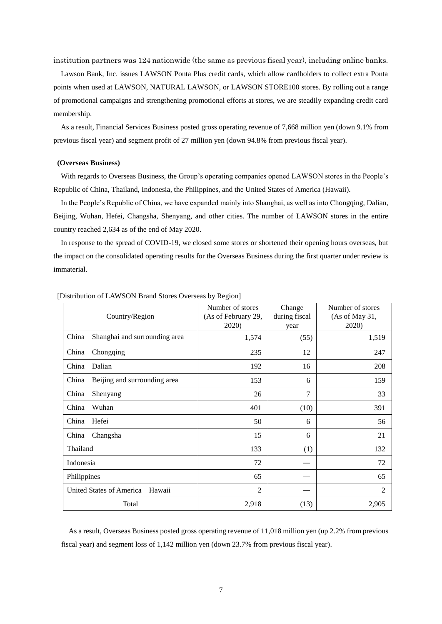institution partners was 124 nationwide (the same as previous fiscal year), including online banks.

Lawson Bank, Inc. issues LAWSON Ponta Plus credit cards, which allow cardholders to collect extra Ponta points when used at LAWSON, NATURAL LAWSON, or LAWSON STORE100 stores. By rolling out a range of promotional campaigns and strengthening promotional efforts at stores, we are steadily expanding credit card membership.

As a result, Financial Services Business posted gross operating revenue of 7,668 million yen (down 9.1% from previous fiscal year) and segment profit of 27 million yen (down 94.8% from previous fiscal year).

#### **(Overseas Business)**

With regards to Overseas Business, the Group's operating companies opened LAWSON stores in the People's Republic of China, Thailand, Indonesia, the Philippines, and the United States of America (Hawaii).

In the People's Republic of China, we have expanded mainly into Shanghai, as well as into Chongqing, Dalian, Beijing, Wuhan, Hefei, Changsha, Shenyang, and other cities. The number of LAWSON stores in the entire country reached 2,634 as of the end of May 2020.

In response to the spread of COVID-19, we closed some stores or shortened their opening hours overseas, but the impact on the consolidated operating results for the Overseas Business during the first quarter under review is immaterial.

| Country/Region                         | Number of stores<br>(As of February 29,<br>2020) | Change<br>during fiscal<br>year | Number of stores<br>(As of May 31,<br>2020) |
|----------------------------------------|--------------------------------------------------|---------------------------------|---------------------------------------------|
| China<br>Shanghai and surrounding area | 1,574                                            | (55)                            | 1,519                                       |
| China<br>Chongqing                     | 235                                              | 12                              | 247                                         |
| China<br>Dalian                        | 192                                              | 16                              | 208                                         |
| Beijing and surrounding area<br>China  | 153                                              | 6                               | 159                                         |
| China<br>Shenyang                      | 26                                               | 7                               | 33                                          |
| China<br>Wuhan                         | 401                                              | (10)                            | 391                                         |
| China<br>Hefei                         | 50                                               | 6                               | 56                                          |
| China<br>Changsha                      | 15                                               | 6                               | 21                                          |
| Thailand                               | 133                                              | (1)                             | 132                                         |
| Indonesia                              | 72                                               |                                 | 72                                          |
| Philippines                            | 65                                               |                                 | 65                                          |
| United States of America<br>Hawaii     | $\overline{2}$                                   |                                 | 2                                           |
| Total                                  | 2,918                                            | (13)                            | 2,905                                       |

[Distribution of LAWSON Brand Stores Overseas by Region]

As a result, Overseas Business posted gross operating revenue of 11,018 million yen (up 2.2% from previous fiscal year) and segment loss of 1,142 million yen (down 23.7% from previous fiscal year).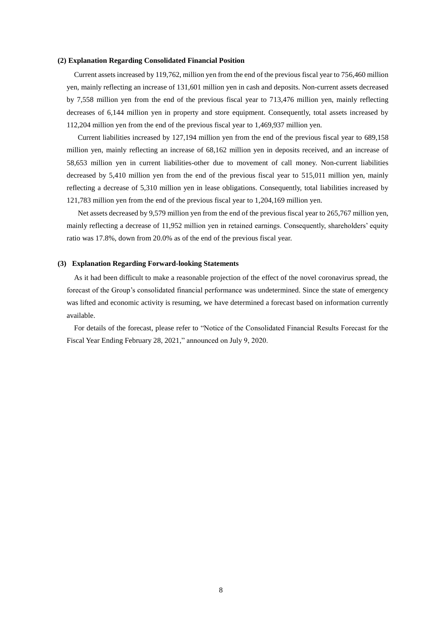## **(2) Explanation Regarding Consolidated Financial Position**

Current assets increased by 119,762, million yen from the end of the previous fiscal year to 756,460 million yen, mainly reflecting an increase of 131,601 million yen in cash and deposits. Non-current assets decreased by 7,558 million yen from the end of the previous fiscal year to 713,476 million yen, mainly reflecting decreases of 6,144 million yen in property and store equipment. Consequently, total assets increased by 112,204 million yen from the end of the previous fiscal year to 1,469,937 million yen.

Current liabilities increased by 127,194 million yen from the end of the previous fiscal year to 689,158 million yen, mainly reflecting an increase of 68,162 million yen in deposits received, and an increase of 58,653 million yen in current liabilities-other due to movement of call money. Non-current liabilities decreased by 5,410 million yen from the end of the previous fiscal year to 515,011 million yen, mainly reflecting a decrease of 5,310 million yen in lease obligations. Consequently, total liabilities increased by 121,783 million yen from the end of the previous fiscal year to 1,204,169 million yen.

Net assets decreased by 9,579 million yen from the end of the previous fiscal year to 265,767 million yen, mainly reflecting a decrease of 11,952 million yen in retained earnings. Consequently, shareholders' equity ratio was 17.8%, down from 20.0% as of the end of the previous fiscal year.

#### **(3) Explanation Regarding Forward-looking Statements**

As it had been difficult to make a reasonable projection of the effect of the novel coronavirus spread, the forecast of the Group's consolidated financial performance was undetermined. Since the state of emergency was lifted and economic activity is resuming, we have determined a forecast based on information currently available.

For details of the forecast, please refer to "Notice of the Consolidated Financial Results Forecast for the Fiscal Year Ending February 28, 2021," announced on July 9, 2020.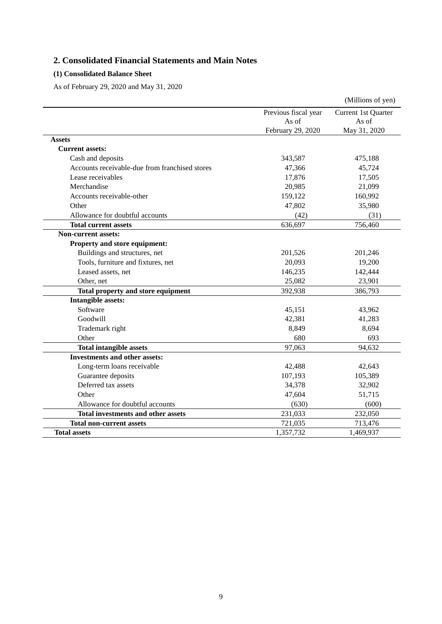# **2. Consolidated Financial Statements and Main Notes**

# **(1) Consolidated Balance Sheet**

As of February 29, 2020 and May 31, 2020

|                                                |                      | (Millions of yen)   |
|------------------------------------------------|----------------------|---------------------|
|                                                | Previous fiscal year | Current 1st Quarter |
|                                                | As of                | As of               |
|                                                | February 29, 2020    | May 31, 2020        |
| <b>Assets</b>                                  |                      |                     |
| <b>Current assets:</b>                         |                      |                     |
| Cash and deposits                              | 343,587              | 475,188             |
| Accounts receivable-due from franchised stores | 47,366               | 45,724              |
| Lease receivables                              | 17,876               | 17,505              |
| Merchandise                                    | 20,985               | 21,099              |
| Accounts receivable-other                      | 159,122              | 160,992             |
| Other                                          | 47,802               | 35,980              |
| Allowance for doubtful accounts                | (42)                 | (31)                |
| <b>Total current assets</b>                    | 636,697              | 756,460             |
| <b>Non-current assets:</b>                     |                      |                     |
| Property and store equipment:                  |                      |                     |
| Buildings and structures, net                  | 201,526              | 201,246             |
| Tools, furniture and fixtures, net             | 20,093               | 19,200              |
| Leased assets, net                             | 146,235              | 142,444             |
| Other, net                                     | 25,082               | 23,901              |
| Total property and store equipment             | 392,938              | 386,793             |
| <b>Intangible assets:</b>                      |                      |                     |
| Software                                       | 45,151               | 43,962              |
| Goodwill                                       | 42,381               | 41,283              |
| Trademark right                                | 8,849                | 8,694               |
| Other                                          | 680                  | 693                 |
| <b>Total intangible assets</b>                 | 97,063               | 94,632              |
| <b>Investments and other assets:</b>           |                      |                     |
| Long-term loans receivable                     | 42,488               | 42,643              |
| Guarantee deposits                             | 107,193              | 105,389             |
| Deferred tax assets                            | 34,378               | 32,902              |
| Other                                          | 47,604               | 51,715              |
| Allowance for doubtful accounts                | (630)                | (600)               |
| <b>Total investments and other assets</b>      | 231,033              | 232,050             |
| <b>Total non-current assets</b>                | 721,035              | 713,476             |
| <b>Total assets</b>                            | 1,357,732            | 1,469,937           |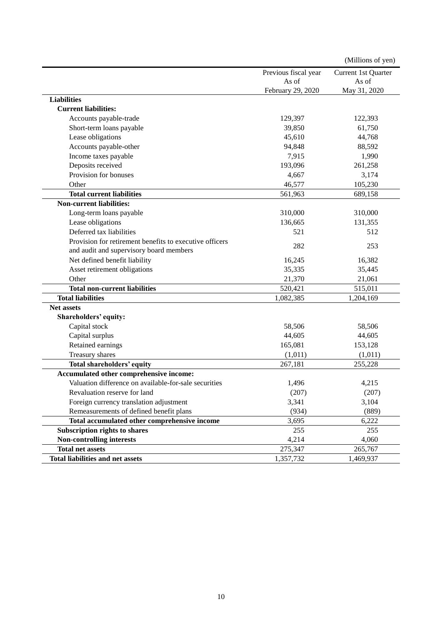|                                                         |                      | (Millions of yen)   |
|---------------------------------------------------------|----------------------|---------------------|
|                                                         | Previous fiscal year | Current 1st Quarter |
|                                                         | As of                | As of               |
|                                                         | February 29, 2020    | May 31, 2020        |
| <b>Liabilities</b>                                      |                      |                     |
| <b>Current liabilities:</b>                             |                      |                     |
| Accounts payable-trade                                  | 129,397              | 122,393             |
| Short-term loans payable                                | 39,850               | 61,750              |
| Lease obligations                                       | 45,610               | 44,768              |
| Accounts payable-other                                  | 94,848               | 88,592              |
| Income taxes payable                                    | 7,915                | 1,990               |
| Deposits received                                       | 193,096              | 261,258             |
| Provision for bonuses                                   | 4,667                | 3,174               |
| Other                                                   | 46,577               | 105,230             |
| <b>Total current liabilities</b>                        | 561,963              | 689,158             |
| <b>Non-current liabilities:</b>                         |                      |                     |
| Long-term loans payable                                 | 310,000              | 310,000             |
| Lease obligations                                       | 136,665              | 131,355             |
| Deferred tax liabilities                                | 521                  | 512                 |
| Provision for retirement benefits to executive officers |                      |                     |
| and audit and supervisory board members                 | 282                  | 253                 |
| Net defined benefit liability                           | 16,245               | 16,382              |
| Asset retirement obligations                            | 35,335               | 35,445              |
| Other                                                   | 21,370               | 21,061              |
| <b>Total non-current liabilities</b>                    | 520,421              | 515,011             |
| <b>Total liabilities</b>                                | 1,082,385            | 1,204,169           |
| <b>Net assets</b>                                       |                      |                     |
| Shareholders' equity:                                   |                      |                     |
| Capital stock                                           | 58,506               | 58,506              |
| Capital surplus                                         | 44,605               | 44,605              |
| Retained earnings                                       | 165,081              | 153,128             |
| Treasury shares                                         | (1,011)              | (1,011)             |
| Total shareholders' equity                              | 267,181              | 255,228             |
| Accumulated other comprehensive income:                 |                      |                     |
| Valuation difference on available-for-sale securities   | 1,496                | 4,215               |
| Revaluation reserve for land                            | (207)                | (207)               |
| Foreign currency translation adjustment                 | 3,341                | 3,104               |
| Remeasurements of defined benefit plans                 | (934)                | (889)               |
| Total accumulated other comprehensive income            | 3,695                | 6,222               |
| Subscription rights to shares                           | 255                  | 255                 |
| <b>Non-controlling interests</b>                        | 4,214                | 4,060               |
| <b>Total net assets</b>                                 | 275,347              | 265,767             |
| <b>Total liabilities and net assets</b>                 | 1,357,732            | 1,469,937           |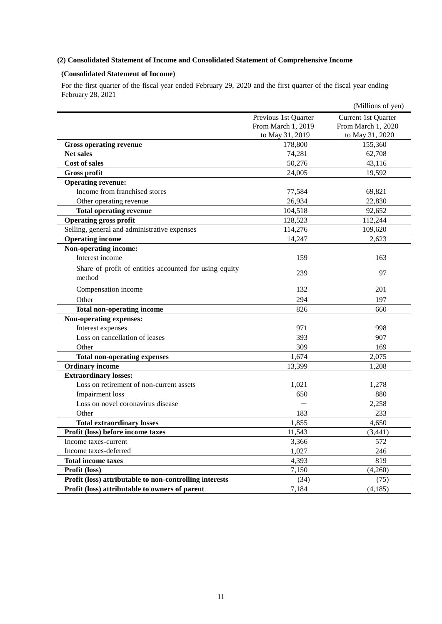# **(2) Consolidated Statement of Income and Consolidated Statement of Comprehensive Income**

# **(Consolidated Statement of Income)**

For the first quarter of the fiscal year ended February 29, 2020 and the first quarter of the fiscal year ending February 28, 2021

|                                                                  |                      | (Millions of yen)   |
|------------------------------------------------------------------|----------------------|---------------------|
|                                                                  | Previous 1st Quarter | Current 1st Quarter |
|                                                                  | From March 1, 2019   | From March 1, 2020  |
|                                                                  | to May 31, 2019      | to May 31, 2020     |
| <b>Gross operating revenue</b>                                   | 178,800              | 155,360             |
| <b>Net sales</b>                                                 | 74,281               | 62,708              |
| <b>Cost of sales</b>                                             | 50,276               | 43,116              |
| Gross profit                                                     | 24,005               | 19,592              |
| <b>Operating revenue:</b>                                        |                      |                     |
| Income from franchised stores                                    | 77,584               | 69,821              |
| Other operating revenue                                          | 26,934               | 22,830              |
| <b>Total operating revenue</b>                                   | 104,518              | 92,652              |
| <b>Operating gross profit</b>                                    | 128,523              | 112,244             |
| Selling, general and administrative expenses                     | 114,276              | 109,620             |
| <b>Operating income</b>                                          | 14,247               | 2,623               |
| Non-operating income:                                            |                      |                     |
| Interest income                                                  | 159                  | 163                 |
| Share of profit of entities accounted for using equity<br>method | 239                  | 97                  |
| Compensation income                                              | 132                  | 201                 |
| Other                                                            | 294                  | 197                 |
| <b>Total non-operating income</b>                                | 826                  | 660                 |
| Non-operating expenses:                                          |                      |                     |
| Interest expenses                                                | 971                  | 998                 |
| Loss on cancellation of leases                                   | 393                  | 907                 |
| Other                                                            | 309                  | 169                 |
| <b>Total non-operating expenses</b>                              | 1,674                | 2,075               |
| <b>Ordinary income</b>                                           | 13,399               | 1,208               |
| <b>Extraordinary losses:</b>                                     |                      |                     |
| Loss on retirement of non-current assets                         | 1,021                | 1,278               |
| <b>Impairment</b> loss                                           | 650                  | 880                 |
| Loss on novel coronavirus disease                                |                      | 2,258               |
| Other                                                            | 183                  | 233                 |
| <b>Total extraordinary losses</b>                                | 1,855                | 4,650               |
| Profit (loss) before income taxes                                | 11,543               | (3, 441)            |
| Income taxes-current                                             | 3,366                | 572                 |
| Income taxes-deferred                                            | 1,027                | 246                 |
| <b>Total income taxes</b>                                        | 4,393                | 819                 |
| Profit (loss)                                                    | 7,150                | (4,260)             |
| Profit (loss) attributable to non-controlling interests          | (34)                 | (75)                |
| Profit (loss) attributable to owners of parent                   | 7,184                | (4,185)             |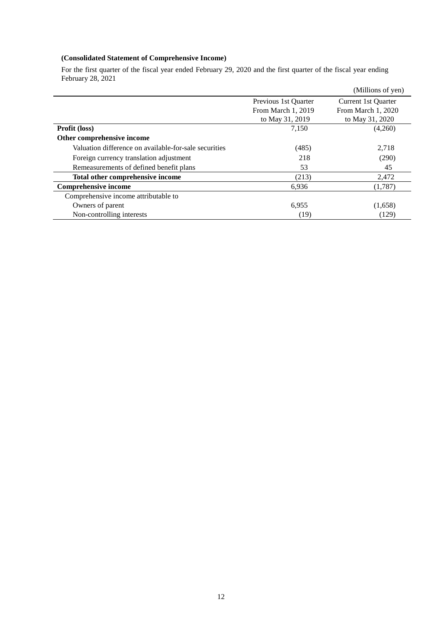# **(Consolidated Statement of Comprehensive Income)**

For the first quarter of the fiscal year ended February 29, 2020 and the first quarter of the fiscal year ending February 28, 2021

|                                                       |                      | (Millions of yen)   |
|-------------------------------------------------------|----------------------|---------------------|
|                                                       | Previous 1st Quarter | Current 1st Quarter |
|                                                       | From March 1, 2019   | From March 1, 2020  |
|                                                       | to May 31, 2019      | to May 31, 2020     |
| Profit (loss)                                         | 7,150                | (4,260)             |
| Other comprehensive income                            |                      |                     |
| Valuation difference on available-for-sale securities | (485)                | 2,718               |
| Foreign currency translation adjustment               | 218                  | (290)               |
| Remeasurements of defined benefit plans               | 53                   | 45                  |
| Total other comprehensive income                      | (213)                | 2,472               |
| <b>Comprehensive income</b>                           | 6,936                | (1,787)             |
| Comprehensive income attributable to                  |                      |                     |
| Owners of parent                                      | 6,955                | (1,658)             |
| Non-controlling interests                             | (19)                 | (129)               |